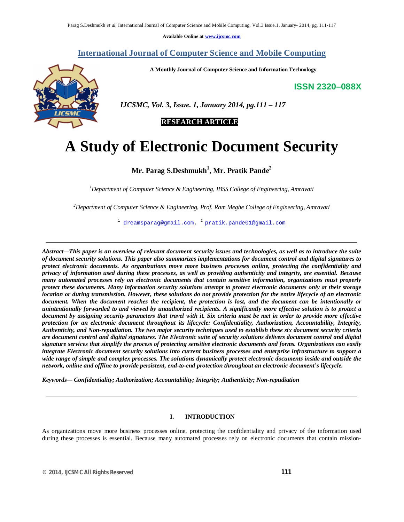**Available Online at www.ijcsmc.com**

# **International Journal of Computer Science and Mobile Computing**

**A Monthly Journal of Computer Science and Information Technology**

**ISSN 2320–088X**



 *IJCSMC, Vol. 3, Issue. 1, January 2014, pg.111 – 117*

# **RESEARCH ARTICLE**

# **A Study of Electronic Document Security**

# **Mr. Parag S.Deshmukh<sup>1</sup> , Mr. Pratik Pande<sup>2</sup>**

*<sup>1</sup>Department of Computer Science & Engineering, IBSS College of Engineering, Amravati* 

*<sup>2</sup>Department of Computer Science & Engineering, Prof. Ram Meghe College of Engineering, Amravati*

 $^{\rm 1}$  dreamsparag@gmail.com,  $^{\rm 2}$  pratik.pande01@gmail.com

*Abstract—This paper is an overview of relevant document security issues and technologies, as well as to introduce the suite of document security solutions. This paper also summarizes implementations for document control and digital signatures to protect electronic documents. As organizations move more business processes online, protecting the confidentiality and privacy of information used during these processes, as well as providing authenticity and integrity, are essential. Because many automated processes rely on electronic documents that contain sensitive information, organizations must properly protect these documents. Many information security solutions attempt to protect electronic documents only at their storage location or during transmission. However, these solutions do not provide protection for the entire lifecycle of an electronic document. When the document reaches the recipient, the protection is lost, and the document can be intentionally or unintentionally forwarded to and viewed by unauthorized recipients. A significantly more effective solution is to protect a document by assigning security parameters that travel with it. Six criteria must be met in order to provide more effective protection for an electronic document throughout its lifecycle: Confidentiality, Authorization, Accountability, Integrity, Authenticity, and Non-repudiation. The two major security techniques used to establish these six document security criteria are document control and digital signatures. The Electronic suite of security solutions delivers document control and digital signature services that simplify the process of protecting sensitive electronic documents and forms. Organizations can easily integrate Electronic document security solutions into current business processes and enterprise infrastructure to support a wide range of simple and complex processes. The solutions dynamically protect electronic documents inside and outside the network, online and offline to provide persistent, end-to-end protection throughout an electronic document's lifecycle.*

*Keywords— Confidentiality; Authorization; Accountability; Integrity; Authenticity; Non-repudiation*

# **I. INTRODUCTION**

As organizations move more business processes online, protecting the confidentiality and privacy of the information used during these processes is essential. Because many automated processes rely on electronic documents that contain mission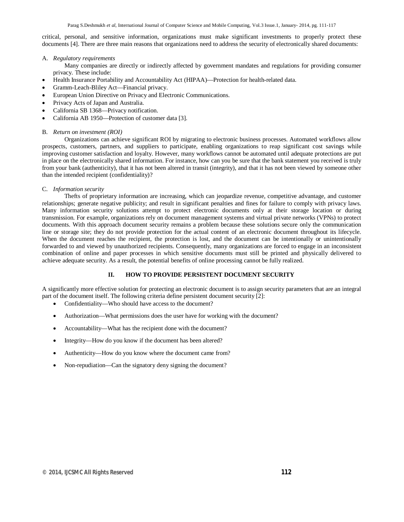critical, personal, and sensitive information, organizations must make significant investments to properly protect these documents [4]. There are three main reasons that organizations need to address the security of electronically shared documents:

## A. *Regulatory requirements*

Many companies are directly or indirectly affected by government mandates and regulations for providing consumer privacy. These include:

- Health Insurance Portability and Accountability Act (HIPAA)—Protection for health-related data.
- Gramm-Leach-Bliley Act—Financial privacy.
- European Union Directive on Privacy and Electronic Communications.
- Privacy Acts of Japan and Australia.
- California SB 1368—Privacy notification.
- California AB 1950—Protection of customer data [3].

#### B. *Return on investment (ROI)*

Organizations can achieve significant ROI by migrating to electronic business processes. Automated workflows allow prospects, customers, partners, and suppliers to participate, enabling organizations to reap significant cost savings while improving customer satisfaction and loyalty. However, many workflows cannot be automated until adequate protections are put in place on the electronically shared information. For instance, how can you be sure that the bank statement you received is truly from your bank (authenticity), that it has not been altered in transit (integrity), and that it has not been viewed by someone other than the intended recipient (confidentiality)?

#### C. *Information security*

Thefts of proprietary information are increasing, which can jeopardize revenue, competitive advantage, and customer relationships; generate negative publicity; and result in significant penalties and fines for failure to comply with privacy laws. Many information security solutions attempt to protect electronic documents only at their storage location or during transmission. For example, organizations rely on document management systems and virtual private networks (VPNs) to protect documents. With this approach document security remains a problem because these solutions secure only the communication line or storage site; they do not provide protection for the actual content of an electronic document throughout its lifecycle. When the document reaches the recipient, the protection is lost, and the document can be intentionally or unintentionally forwarded to and viewed by unauthorized recipients. Consequently, many organizations are forced to engage in an inconsistent combination of online and paper processes in which sensitive documents must still be printed and physically delivered to achieve adequate security. As a result, the potential benefits of online processing cannot be fully realized.

## **II. HOW TO PROVIDE PERSISTENT DOCUMENT SECURITY**

A significantly more effective solution for protecting an electronic document is to assign security parameters that are an integral part of the document itself. The following criteria define persistent document security [2]:

- Confidentiality—Who should have access to the document?
- Authorization—What permissions does the user have for working with the document?
- Accountability—What has the recipient done with the document?
- Integrity—How do you know if the document has been altered?
- Authenticity—How do you know where the document came from?
- Non-repudiation—Can the signatory deny signing the document?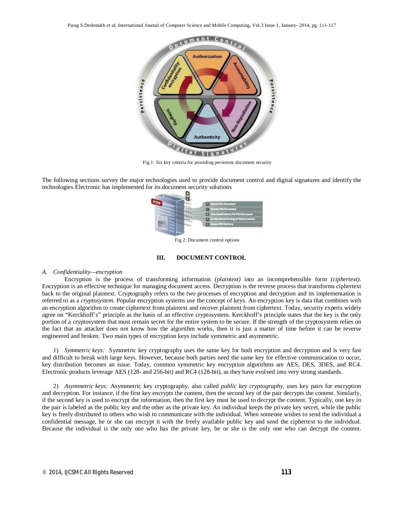

Fig 1: Six key criteria for providing persistent document security

The following sections survey the major technologies used to provide document control and digital signatures and identify the technologies Electronic has implemented for its document security solutions



Fig 2: Document control options

## **III. DOCUMENT CONTROL**

## *A. Confidentiality—encryption*

Encryption is the process of transforming information *(plaintext)* into an incomprehensible form *(ciphertext)*. Encryption is an effective technique for managing document access. Decryption is the reverse process that transforms ciphertext back to the original plaintext. Cryptography refers to the two processes of encryption and decryption and its implementation is referred to as a *cryptosystem*. Popular encryption systems use the concept of keys. An encryption key is data that combines with an encryption algorithm to create ciphertext from plaintext and recover plaintext from ciphertext. Today, security experts widely agree on "Kerckhoff's" principle as the basis of an effective cryptosystem. Kerckhoff's principle states that the key is the only portion of a cryptosystem that must remain secret for the entire system to be secure. If the strength of the cryptosystem relies on the fact that an attacker does not know how the algorithm works, then it is just a matter of time before it can be reverse engineered and broken. Two main types of encryption keys include symmetric and asymmetric.

1) *Symmetric keys:* Symmetric key cryptography uses the same key for both encryption and decryption and is very fast and difficult to break with large keys. However, because both parties need the same key for effective communication to occur, key distribution becomes an issue. Today, common symmetric key encryption algorithms are AES, DES, 3DES, and RC4. Electronic products leverage AES (128- and 256-bit) and RC4 (128-bit), as they have evolved into very strong standards.

2) *Asymmetric keys:* Asymmetric key cryptography, also called *public key cryptography,* uses key pairs for encryption and decryption. For instance, if the first key encrypts the content, then the second key of the pair decrypts the content. Similarly, if the second key is used to encrypt the information, then the first key must be used to decrypt the content. Typically, one key in the pair is labeled as the public key and the other as the private key. An individual keeps the private key secret, while the public key is freely distributed to others who wish to communicate with the individual. When someone wishes to send the individual a confidential message, he or she can encrypt it with the freely available public key and send the ciphertext to the individual. Because the individual is the only one who has the private key, he or she is the only one who can decrypt the content.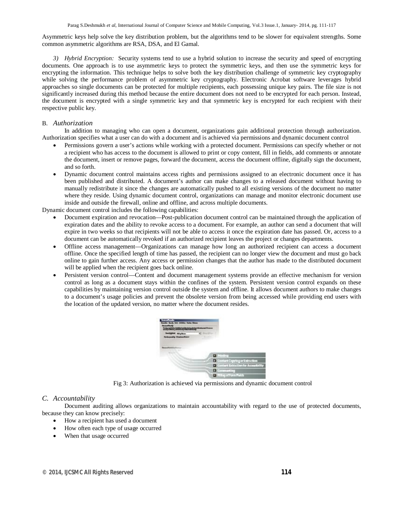Asymmetric keys help solve the key distribution problem, but the algorithms tend to be slower for equivalent strengths. Some common asymmetric algorithms are RSA, DSA, and El Gamal.

*3) Hybrid Encryption:* Security systems tend to use a hybrid solution to increase the security and speed of encrypting documents. One approach is to use asymmetric keys to protect the symmetric keys, and then use the symmetric keys for encrypting the information. This technique helps to solve both the key distribution challenge of symmetric key cryptography while solving the performance problem of asymmetric key cryptography. Electronic Acrobat software leverages hybrid approaches so single documents can be protected for multiple recipients, each possessing unique key pairs. The file size is not significantly increased during this method because the entire document does not need to be encrypted for each person. Instead, the document is encrypted with a single symmetric key and that symmetric key is encrypted for each recipient with their respective public key.

## B. *Authorization*

In addition to managing who can open a document, organizations gain additional protection through authorization. Authorization specifies what a user can do with a document and is achieved via permissions and dynamic document control

- Permissions govern a user's actions while working with a protected document. Permissions can specify whether or not a recipient who has access to the document is allowed to print or copy content, fill in fields, add comments or annotate the document, insert or remove pages, forward the document, access the document offline, digitally sign the document, and so forth.
- Dynamic document control maintains access rights and permissions assigned to an electronic document once it has been published and distributed. A document's author can make changes to a released document without having to manually redistribute it since the changes are automatically pushed to all existing versions of the document no matter where they reside. Using dynamic document control, organizations can manage and monitor electronic document use inside and outside the firewall, online and offline, and across multiple documents.

Dynamic document control includes the following capabilities:

- Document expiration and revocation—Post-publication document control can be maintained through the application of expiration dates and the ability to revoke access to a document. For example, an author can send a document that will expire in two weeks so that recipients will not be able to access it once the expiration date has passed. Or, access to a document can be automatically revoked if an authorized recipient leaves the project or changes departments.
- Offline access management—Organizations can manage how long an authorized recipient can access a document offline. Once the specified length of time has passed, the recipient can no longer view the document and must go back online to gain further access. Any access or permission changes that the author has made to the distributed document will be applied when the recipient goes back online.
- Persistent version control—Content and document management systems provide an effective mechanism for version control as long as a document stays within the confines of the system. Persistent version control expands on these capabilities by maintaining version control outside the system and offline. It allows document authors to make changes to a document's usage policies and prevent the obsolete version from being accessed while providing end users with the location of the updated version, no matter where the document resides.



Fig 3: Authorization is achieved via permissions and dynamic document control

# *C. Accountability*

Document auditing allows organizations to maintain accountability with regard to the use of protected documents, because they can know precisely:

- How a recipient has used a document
- How often each type of usage occurred
- When that usage occurred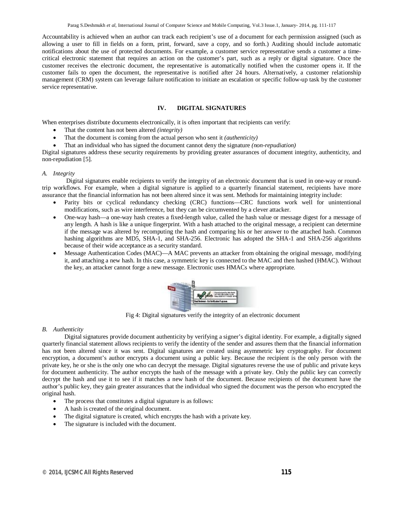Accountability is achieved when an author can track each recipient's use of a document for each permission assigned (such as allowing a user to fill in fields on a form, print, forward, save a copy, and so forth.) Auditing should include automatic notifications about the use of protected documents. For example, a customer service representative sends a customer a timecritical electronic statement that requires an action on the customer's part, such as a reply or digital signature. Once the customer receives the electronic document, the representative is automatically notified when the customer opens it. If the customer fails to open the document, the representative is notified after 24 hours. Alternatively, a customer relationship management (CRM) system can leverage failure notification to initiate an escalation or specific follow-up task by the customer service representative.

# **IV. DIGITAL SIGNATURES**

When enterprises distribute documents electronically, it is often important that recipients can verify:

- That the content has not been altered *(integrity)*
- That the document is coming from the actual person who sent it *(authenticity)*
- That an individual who has signed the document cannot deny the signature *(non-repudiation)*

Digital signatures address these security requirements by providing greater assurances of document integrity, authenticity, and non-repudiation [5].

#### *A. Integrity*

Digital signatures enable recipients to verify the integrity of an electronic document that is used in one-way or roundtrip workflows. For example, when a digital signature is applied to a quarterly financial statement, recipients have more assurance that the financial information has not been altered since it was sent. Methods for maintaining integrity include:

- Parity bits or cyclical redundancy checking (CRC) functions—CRC functions work well for unintentional modifications, such as wire interference, but they can be circumvented by a clever attacker.
- One-way hash—a one-way hash creates a fixed-length value, called the hash value or message digest for a message of any length. A hash is like a unique fingerprint. With a hash attached to the original message, a recipient can determine if the message was altered by recomputing the hash and comparing his or her answer to the attached hash. Common hashing algorithms are MD5, SHA-1, and SHA-256. Electronic has adopted the SHA-1 and SHA-256 algorithms because of their wide acceptance as a security standard.
- Message Authentication Codes (MAC)—A MAC prevents an attacker from obtaining the original message, modifying it, and attaching a new hash. In this case, a symmetric key is connected to the MAC and then hashed (HMAC). Without the key, an attacker cannot forge a new message. Electronic uses HMACs where appropriate.



Fig 4: Digital signatures verify the integrity of an electronic document

#### *B. Authenticity*

Digital signatures provide document authenticity by verifying a signer's digital identity. For example, a digitally signed quarterly financial statement allows recipients to verify the identity of the sender and assures them that the financial information has not been altered since it was sent. Digital signatures are created using asymmetric key cryptography. For document encryption, a document's author encrypts a document using a public key. Because the recipient is the only person with the private key, he or she is the only one who can decrypt the message. Digital signatures reverse the use of public and private keys for document authenticity. The author encrypts the hash of the message with a private key. Only the public key can correctly decrypt the hash and use it to see if it matches a new hash of the document. Because recipients of the document have the author's public key, they gain greater assurances that the individual who signed the document was the person who encrypted the original hash.

- The process that constitutes a digital signature is as follows:
- A hash is created of the original document.
- The digital signature is created, which encrypts the hash with a private key.
- The signature is included with the document.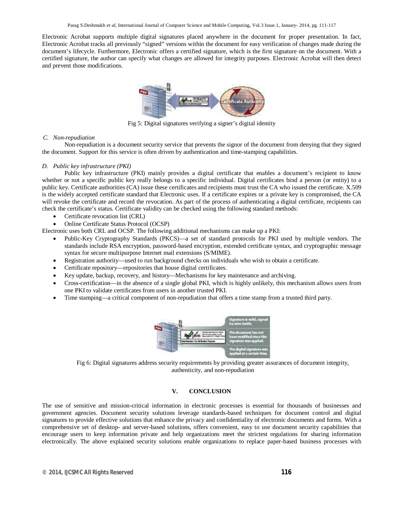Electronic Acrobat supports multiple digital signatures placed anywhere in the document for proper presentation. In fact, Electronic Acrobat tracks all previously "signed" versions within the document for easy verification of changes made during the document's lifecycle. Furthermore, Electronic offers a certified signature, which is the first signature on the document. With a certified signature, the author can specify what changes are allowed for integrity purposes. Electronic Acrobat will then detect and prevent those modifications.



Fig 5: Digital signatures verifying a signer's digital identity

#### *C. Non-repudiation*

Non-repudiation is a document security service that prevents the signor of the document from denying that they signed the document. Support for this service is often driven by authentication and time-stamping capabilities.

## *D. Public key infrastructure (PKI)*

Public key infrastructure (PKI) mainly provides a digital certificate that enables a document's recipient to know whether or not a specific public key really belongs to a specific individual. Digital certificates bind a person (or entity) to a public key. Certificate authorities (CA) issue these certificates and recipients must trust the CA who issued the certificate. X.509 is the widely accepted certificate standard that Electronic uses. If a certificate expires or a private key is compromised, the CA will revoke the certificate and record the revocation. As part of the process of authenticating a digital certificate, recipients can check the certificate's status. Certificate validity can be checked using the following standard methods:

- Certificate revocation list (CRL)
- Online Certificate Status Protocol (OCSP)

Electronic uses both CRL and OCSP. The following additional mechanisms can make up a PKI:

- Public-Key Cryptography Standards (PKCS)—a set of standard protocols for PKI used by multiple vendors. The standards include RSA encryption, password-based encryption, extended certificate syntax, and cryptographic message syntax for secure multipurpose Internet mail extensions (S/MIME).
- Registration authority—used to run background checks on individuals who wish to obtain a certificate.
- Certificate repository—repositories that house digital certificates.
- Key update, backup, recovery, and history—Mechanisms for key maintenance and archiving.
- Cross-certification—in the absence of a single global PKI, which is highly unlikely, this mechanism allows users from one PKI to validate certificates from users in another trusted PKI.
- Time stamping—a critical component of non-repudiation that offers a time stamp from a trusted third party.



Fig 6: Digital signatures address security requirements by providing greater assurances of document integrity, authenticity, and non-repudiation

# **V. CONCLUSION**

The use of sensitive and mission-critical information in electronic processes is essential for thousands of businesses and government agencies. Document security solutions leverage standards-based techniques for document control and digital signatures to provide effective solutions that enhance the privacy and confidentiality of electronic documents and forms. With a comprehensive set of desktop- and server-based solutions, offers convenient, easy to use document security capabilities that encourage users to keep information private and help organizations meet the strictest regulations for sharing information electronically. The above explained security solutions enable organizations to replace paper-based business processes with